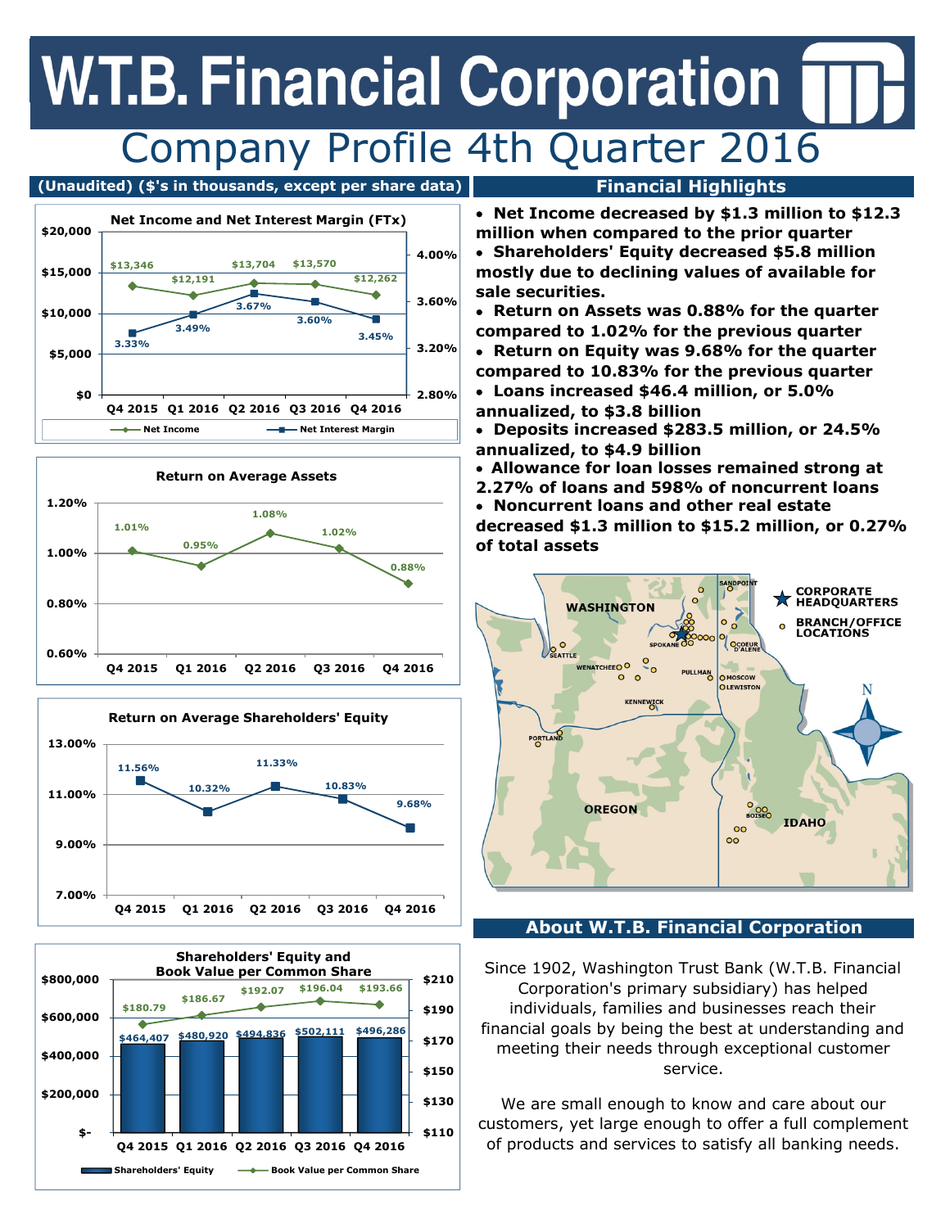## **W.T.B. Financial Corporation** Company Profile 4th Quarter 2016

### **(Unaudited) (\$'s in thousands, except per share data) Financial Highlights**









- **Net Income decreased by \$1.3 million to \$12.3 million when compared to the prior quarter**
- **Shareholders' Equity decreased \$5.8 million mostly due to declining values of available for sale securities.**
- **Return on Assets was 0.88% for the quarter compared to 1.02% for the previous quarter**
- **Return on Equity was 9.68% for the quarter compared to 10.83% for the previous quarter**
- **Loans increased \$46.4 million, or 5.0% annualized, to \$3.8 billion**
- **Deposits increased \$283.5 million, or 24.5% annualized, to \$4.9 billion**
- **Allowance for loan losses remained strong at**
- **2.27% of loans and 598% of noncurrent loans Noncurrent loans and other real estate decreased \$1.3 million to \$15.2 million, or 0.27%**
- **of total assets**



### **About W.T.B. Financial Corporation**

Since 1902, Washington Trust Bank (W.T.B. Financial Corporation's primary subsidiary) has helped individuals, families and businesses reach their financial goals by being the best at understanding and meeting their needs through exceptional customer service.

We are small enough to know and care about our customers, yet large enough to offer a full complement of products and services to satisfy all banking needs.